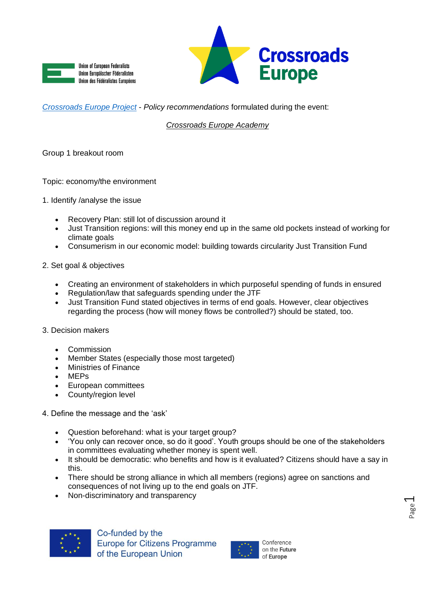



## *[Crossroads Europe Project](https://www.crossroadseurope.eu/)* - *Policy recommendations* formulated during the event:

## *Crossroads Europe Academy*

Group 1 breakout room

Topic: economy/the environment

- 1. Identify /analyse the issue
	- Recovery Plan: still lot of discussion around it
	- Just Transition regions: will this money end up in the same old pockets instead of working for climate goals
	- Consumerism in our economic model: building towards circularity Just Transition Fund
- 2. Set goal & objectives
	- Creating an environment of stakeholders in which purposeful spending of funds in ensured
	- Regulation/law that safeguards spending under the JTF
	- Just Transition Fund stated objectives in terms of end goals. However, clear objectives regarding the process (how will money flows be controlled?) should be stated, too.
- 3. Decision makers
	- **Commission**
	- Member States (especially those most targeted)
	- Ministries of Finance
	- MEPs
	- European committees
	- County/region level
- 4. Define the message and the 'ask'
	- Question beforehand: what is your target group?
	- 'You only can recover once, so do it good'. Youth groups should be one of the stakeholders in committees evaluating whether money is spent well.
	- It should be democratic: who benefits and how is it evaluated? Citizens should have a say in this.
	- There should be strong alliance in which all members (regions) agree on sanctions and consequences of not living up to the end goals on JTF.
	- Non-discriminatory and transparency





on the Future